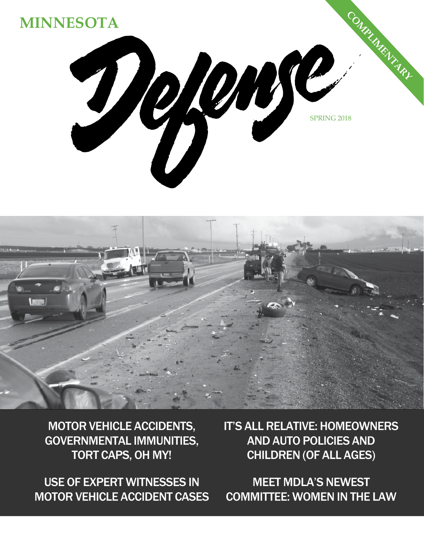



MOTOR VEHICLE ACCIDENTS, GOVERNMENTAL IMMUNITIES, TORT CAPS, OH MY!

USE OF EXPERT WITNESSES IN MOTOR VEHICLE ACCIDENT CASES IT'S ALL RELATIVE: HOMEOWNERS AND AUTO POLICIES AND CHILDREN (OF ALL AGES)

MEET MDLA'S NEWEST COMMITTEE: WOMEN IN THE LAW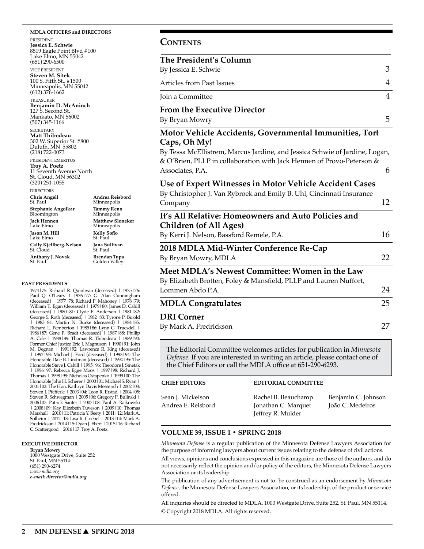#### **MDLA OFFICERS and DIRECTORS**

PRESIDENT **Jessica E. Schwie** 8519 Eagle Point Blvd #100 Lake Elmo, MN 55042 (651) 290-6500

VICE PRESIDENT **Steven M. Sitek** 100 S. Fifth St., #1500 Minneapolis, MN 55042 (612) 376-1662

TREASURER **Benjamin D. McAninch** 127 S. Second St. Mankato, MN 56002 (507) 345-1166

**SECRETARY Matt Thibodeau** 302 W. Superior St. #800 Duluth, MN 55802 (218) 722-0073

PRESIDENT EMERITUS **Troy A. Poetz** 11 Seventh Avenue North St. Cloud, MN 56302 (320) 251-1055

> **Andrea Reisbord** Minneapolis **Tammy Reno** Minneapolis **Matthew Sloneker** Minneapolis **Kelly Sofio** St. Paul **Jana Sullivan** St. Paul **Brendan Tupa** Golden Valley

DIRECTORS **Chris Angell**

St. Paul **Stephanie Angolkar**  Bloomington **Jack Hennen** Lake Elmo **Jason M. Hill** Lake Elmo **Cally Kjellberg-Nelson** St. Cloud **Anthony J. Novak** St. Paul

#### **PAST PRESIDENTS**

1974|75: Richard R. Quinlivan (deceased) | 1975|76: Paul Q. O'Leary | 1976|77: G. Alan Cunningham (deceased) | 1977|78: Richard P. Mahoney | 1978|79: William T. Egan (deceased) | 1979 | 80: James D. Cahill (deceased) | 1980|81: Clyde F. Anderson | 1981|82: George S. Roth (deceased) | 1982|83: Tyrone P. Bujold | 1983|84: Martin N. Burke (deceased) | 1984|85:<br>Richard L. Pemberton | 1985|86: Lynn G. Truesdell | 1986|87: Gene P. Bradt (deceased) | 1987|88: Phillip A. Cole | 1988|89: Thomas R. Thibodeau | 1989|90: Former Chief Justice Eric J. Magnuson | 1990|91: John M. Degnan | 1991 | 92: Lawrence R. King (deceased) | 1992|93: Michael J. Ford (deceased) | 1993|94: The Honorable Dale B. Lindman (deceased) | 1994|95: The Honorable Steve J. Cahill | 1995 | 96: Theodore J. Smetak | 1996|97: Rebecca Egge Moos | 1997|98: Richard J. Thomas | 1998|99: Nicholas Ostapenko | 1999|00: The Honorable John H. Scherer | 2000|01: Michael S. Ryan | 2001|02: The Hon. Kathryn Davis Messerich | 2002|03: Steven J. Pfefferle | 2003 04: Leon R. Erstad | 2004 | 05: Steven R. Schwegman | 2005 | 06: Gregory P. Bulinski | 2006|07: Patrick Sauter | 2007|08: Paul A. Rajkowski | 2008|09: Kay Elizabeth Tuveson | 2009|10: Thomas Marshall | 2010|11: Patricia Y. Beety | 2011|12: Mark A. Solheim | 2012|13: Lisa R. Griebel | 2013|14: Mark A. Fredrickson | 2014|15: Dyan J. Ebert | 2015|16: Richard C. Scattergood | 2016|17: Troy A. Poetz

#### **EXECUTIVE DIRECTOR**

**Bryan Mowry** 1000 Westgate Drive, Suite 252 St. Paul, MN 55114 (651) 290-6274 *www.mdla.org e-mail: director@mdla.org*

#### **Contents**

# **The President's Column**  By Jessica E. Schwie 3 Articles from Past Issues 4 Join a Committee 4 **From the Executive Director** By Bryan Mowry 5

## **Motor Vehicle Accidents, Governmental Immunities, Tort Caps, Oh My!**

By Tessa McEllistrem, Marcus Jardine, and Jessica Schwie of Jardine, Logan, & O'Brien, PLLP in collaboration with Jack Hennen of Provo-Peterson & Associates, P.A. 6

## **Use of Expert Witnesses in Motor Vehicle Accident Cases**

| By Christopher J. Van Rybroek and Emily B. Uhl, Cincinnati Insurance          |    |
|-------------------------------------------------------------------------------|----|
| Company                                                                       | 12 |
| It's All Relative: Homeowners and Auto Policies and<br>Children (of All Ages) |    |
| By Kerri J. Nelson, Bassford Remele, P.A.                                     | 16 |
| 2018 MDLA Mid-Winter Conference Re-Cap                                        |    |
| By Bryan Mowry, MDLA                                                          | 22 |
| Meet MDLA's Newest Committee: Women in the Law                                |    |
| By Elizabeth Brotten, Foley & Mansfield, PLLP and Lauren Nuffort,             |    |
| Lommen Abdo P.A.                                                              | 24 |
| <b>MDLA Congratulates</b>                                                     | 25 |
| <b>DRI</b> Corner                                                             |    |
| By Mark A. Fredrickson                                                        | 27 |

The Editorial Committee welcomes articles for publication in *Minnesota Defense.* If you are interested in writing an article, please contact one of the Chief Editors or call the MDLA office at 651-290-6293.

#### **CHIEF EDITORS**

#### **EDITORIAL COMMITTEE**

| Sean J. Mickelson  | Rachel B. Beauchamp | Benjamin C. Johnson |
|--------------------|---------------------|---------------------|
| Andrea E. Reisbord | Jonathan C. Marquet | João C. Medeiros    |
|                    | Jeffrey R. Mulder   |                     |

#### **VOLUME 39, ISSUE 1 • SPRING 2018**

*Minnesota Defense* is a regular publication of the Minnesota Defense Lawyers Association for the purpose of informing lawyers about current issues relating to the defense of civil actions.

All views, opinions and conclusions expressed in this magazine are those of the authors, and do not necessarily reflect the opinion and/or policy of the editors, the Minnesota Defense Lawyers Association or its leadership.

The publication of any advertisement is not to be construed as an endorsement by *Minnesota Defense*, the Minnesota Defense Lawyers Association, or its leadership, of the product or service offered.

All inquiries should be directed to MDLA, 1000 Westgate Drive, Suite 252, St. Paul, MN 55114. © Copyright 2018 MDLA. All rights reserved.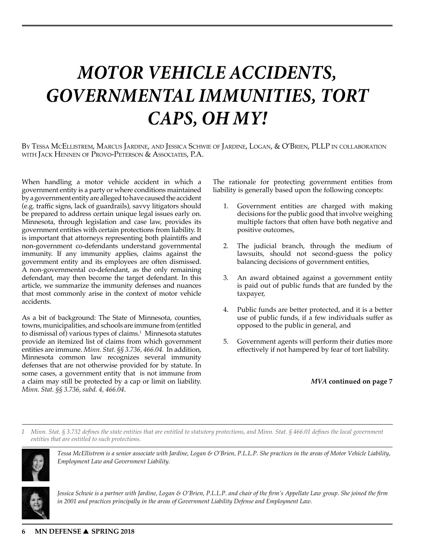# *MOTOR VEHICLE ACCIDENTS, GOVERNMENTAL IMMUNITIES, TORT CAPS, OH MY!*

By Tessa McEllistrem, Marcus Jardine, and Jessica Schwie of Jardine, Logan, & O'Brien, PLLP in collaboration with Jack Hennen of Provo-Peterson & Associates, P.A.

When handling a motor vehicle accident in which a government entity is a party or where conditions maintained by a government entity are alleged to have caused the accident (e.g. traffic signs, lack of guardrails), savvy litigators should be prepared to address certain unique legal issues early on. Minnesota, through legislation and case law, provides its government entities with certain protections from liability. It is important that attorneys representing both plaintiffs and non-government co-defendants understand governmental immunity. If any immunity applies, claims against the government entity and its employees are often dismissed. A non-governmental co-defendant, as the only remaining defendant, may then become the target defendant. In this article, we summarize the immunity defenses and nuances that most commonly arise in the context of motor vehicle accidents.

As a bit of background: The State of Minnesota, counties, towns, municipalities, and schools are immune from (entitled to dismissal of) various types of claims.<sup>1</sup> Minnesota statutes provide an itemized list of claims from which government entities are immune. *Minn. Stat. §§ 3.736, 466.04.* In addition, Minnesota common law recognizes several immunity defenses that are not otherwise provided for by statute. In some cases, a government entity that is not immune from a claim may still be protected by a cap or limit on liability. *Minn. Stat. §§ 3.736, subd. 4, 466.04*.

The rationale for protecting government entities from liability is generally based upon the following concepts:

- 1. Government entities are charged with making decisions for the public good that involve weighing multiple factors that often have both negative and positive outcomes,
- 2. The judicial branch, through the medium of lawsuits, should not second-guess the policy balancing decisions of government entities,
- 3. An award obtained against a government entity is paid out of public funds that are funded by the taxpayer,
- 4. Public funds are better protected, and it is a better use of public funds, if  $a$  few individuals suffer as opposed to the public in general, and
- 5. Government agents will perform their duties more effectively if not hampered by fear of tort liability.

## *MVA* **continued on page 7**

*1 Minn. Stat. § 3.732 defines the state entities that are entitled to statutory protections, and Minn. Stat. § 466.01 defines the local government entities that are entitled to such protections.*



*Tessa McEllistrem is a senior associate with Jardine, Logan & O'Brien, P.L.L.P. She practices in the areas of Motor Vehicle Liability, Employment Law and Government Liability.*



*Jessica Schwie is a partner with Jardine, Logan & O'Brien, P.L.L.P. and chair of the firm's Appellate Law group. She joined the firm in 2001 and practices principally in the areas of Government Liability Defense and Employment Law.*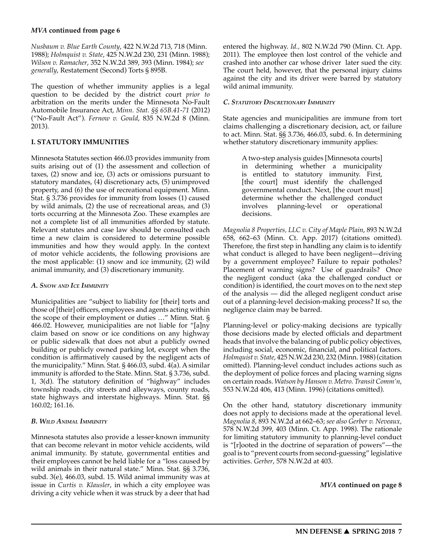*Nusbaum v. Blue Earth County*, 422 N.W.2d 713, 718 (Minn. 1988); *Holmquist v. State*, 425 N.W.2d 230, 231 (Minn. 1988); *Wilson v. Ramacher*, 352 N.W.2d 389, 393 (Minn. 1984); *see generally*, Restatement (Second) Torts § 895B.

The question of whether immunity applies is a legal question to be decided by the district court *prior to* arbitration on the merits under the Minnesota No-Fault Automobile Insurance Act, *Minn. Stat. §§ 65B.41-71* (2012) ("No-Fault Act"). *Fernow v. Gould*, 835 N.W.2d 8 (Minn. 2013).

#### **I. STATUTORY IMMUNITIES**

Minnesota Statutes section 466.03 provides immunity from suits arising out of (1) the assessment and collection of taxes, (2) snow and ice, (3) acts or omissions pursuant to statutory mandates, (4) discretionary acts, (5) unimproved property, and (6) the use of recreational equipment. Minn. Stat. § 3.736 provides for immunity from losses (1) caused by wild animals, (2) the use of recreational areas, and (3) torts occurring at the Minnesota Zoo. These examples are not a complete list of all immunities afforded by statute. Relevant statutes and case law should be consulted each time a new claim is considered to determine possible immunities and how they would apply. In the context of motor vehicle accidents, the following provisions are the most applicable: (1) snow and ice immunity, (2) wild animal immunity, and (3) discretionary immunity.

#### *A. Snow and Ice Immunity*

Municipalities are "subject to liability for [their] torts and those of [their] officers, employees and agents acting within the scope of their employment or duties …" Minn. Stat. § 466.02. However, municipalities are not liable for "[a]ny claim based on snow or ice conditions on any highway or public sidewalk that does not abut a publicly owned building or publicly owned parking lot, except when the condition is affirmatively caused by the negligent acts of the municipality." Minn. Stat. § 466.03, subd. 4(a). A similar immunity is afforded to the State. Minn. Stat. § 3.736, subd. 1, 3(d). The statutory definition of "highway" includes township roads, city streets and alleyways, county roads, state highways and interstate highways. Minn. Stat. §§ 160.02; 161.16.

## *B. Wild Animal Immunity*

Minnesota statutes also provide a lesser-known immunity that can become relevant in motor vehicle accidents, wild animal immunity. By statute, governmental entities and their employees cannot be held liable for a "loss caused by wild animals in their natural state." Minn. Stat. §§ 3.736, subd. 3(e), 466.03, subd. 15. Wild animal immunity was at issue in *Curtis v. Klausler*, in which a city employee was driving a city vehicle when it was struck by a deer that had

entered the highway. *Id.,* 802 N.W.2d 790 (Minn. Ct. App. 2011). The employee then lost control of the vehicle and crashed into another car whose driver later sued the city. The court held, however, that the personal injury claims against the city and its driver were barred by statutory wild animal immunity.

#### *C. Statutory Discretionary Immunity*

State agencies and municipalities are immune from tort claims challenging a discretionary decision, act, or failure to act. Minn. Stat. §§ 3.736, 466.03, subd. 6. In determining whether statutory discretionary immunity applies:

A two-step analysis guides [Minnesota courts] in determining whether a municipality is entitled to statutory immunity. First, [the court] must identify the challenged governmental conduct. Next, [the court must] determine whether the challenged conduct involves planning-level or operational decisions.

*Magnolia 8 Properties, LLC v. City of Maple Plain*, 893 N.W.2d 658, 662–63 (Minn. Ct. App. 2017) (citations omitted). Therefore, the first step in handling any claim is to identify what conduct is alleged to have been negligent—driving by a government employee? Failure to repair potholes? Placement of warning signs? Use of guardrails? Once the negligent conduct (aka the challenged conduct or condition) is identified, the court moves on to the next step of the analysis — did the alleged negligent conduct arise out of a planning-level decision-making process? If so, the negligence claim may be barred.

Planning-level or policy-making decisions are typically those decisions made by elected officials and department heads that involve the balancing of public policy objectives, including social, economic, financial, and political factors. *Holmquist v. State*, 425 N.W.2d 230, 232 (Minn. 1988) (citation omitted). Planning-level conduct includes actions such as the deployment of police forces and placing warning signs on certain roads. *Watson by Hanson v. Metro. Transit Comm'n*, 553 N.W.2d 406, 413 (Minn. 1996) (citations omitted).

On the other hand, statutory discretionary immunity does not apply to decisions made at the operational level. *Magnolia 8*, 893 N.W.2d at 662–63; *see also Gerber v. Neveaux,* 578 N.W.2d 399, 403 (Minn. Ct. App. 1998). The rationale for limiting statutory immunity to planning-level conduct is "[r]ooted in the doctrine of separation of powers"—the goal is to "prevent courts from second-guessing" legislative activities. *Gerber*, 578 N.W.2d at 403.

#### *MVA* **continued on page 8**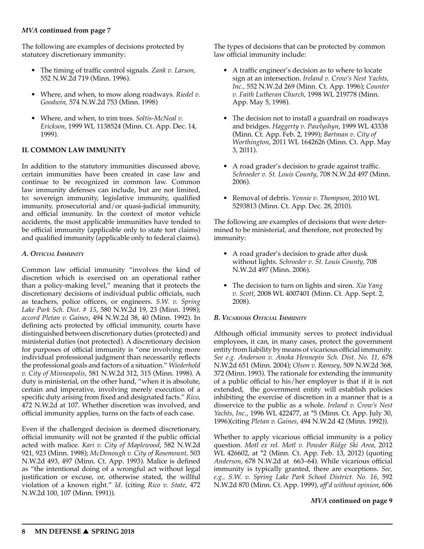The following are examples of decisions protected by statutory discretionary immunity:

- The timing of traffic control signals. *Zank v. Larson*, 552 N.W.2d 719 (Minn. 1996).
- Where, and when, to mow along roadways. *Riedel v. Goodwin,* 574 N.W.2d 753 (Minn. 1998)
- Where, and when, to trim trees. *Soltis-McNeal v. Erickson*, 1999 WL 1138524 (Minn. Ct. App. Dec. 14, 1999).

#### **II. COMMON LAW IMMUNITY**

In addition to the statutory immunities discussed above, certain immunities have been created in case law and continue to be recognized in common law. Common law immunity defenses can include, but are not limited, to: sovereign immunity, legislative immunity, qualified immunity, prosecutorial and/or quasi-judicial immunity, and official immunity. In the context of motor vehicle accidents, the most applicable immunities have tended to be official immunity (applicable only to state tort claims) and qualified immunity (applicable only to federal claims).

#### *A. Official Immunity*

Common law official immunity "involves the kind of discretion which is exercised on an operational rather than a policy-making level," meaning that it protects the discretionary decisions of individual public officials, such as teachers, police officers, or engineers. *S.W. v. Spring Lake Park Sch. Dist. # 15*, 580 N.W.2d 19, 23 (Minn. 1998); *accord Pletan v. Gaines*, 494 N.W.2d 38, 40 (Minn. 1992). In defining acts protected by official immunity, courts have distinguished between discretionary duties (protected) and ministerial duties (not protected). A discretionary decision for purposes of official immunity is "one involving more individual professional judgment than necessarily reflects the professional goals and factors of a situation." *Wiederhold v. City of Minneapolis*, 581 N.W.2d 312, 315 (Minn. 1998). A duty is ministerial, on the other hand, "when it is absolute, certain and imperative, involving merely execution of a specific duty arising from fixed and designated facts." *Rico*, 472 N.W.2d at 107. Whether discretion was involved, and official immunity applies, turns on the facts of each case.

Even if the challenged decision is deemed discretionary, official immunity will not be granted if the public official acted with malice. *Kari v. City of Maplewood*, 582 N.W.2d 921, 923 (Minn. 1998); *McDonough v. City of Rosemount*, 503 N.W.2d 493, 497 (Minn. Ct. App. 1993). Malice is defined as "the intentional doing of a wrongful act without legal justification or excuse, or, otherwise stated, the willful violation of a known right." *Id*. (citing *Rico v. State*, 472 N.W.2d 100, 107 (Minn. 1991)).

The types of decisions that can be protected by common law official immunity include:

- A traffic engineer's decision as to where to locate sign at an intersection. *Ireland v. Crow's Nest Yachts, Inc.,* 552 N.W.2d 269 (Minn. Ct. App. 1996); *Counter v. Faith Lutheran Church*, 1998 WL 219778 (Minn. App. May 5, 1998).
- The decision not to install a guardrail on roadways and bridges. *Haggerty v. Pawlyshyn*, 1999 WL 43338 (Minn. Ct. App. Feb. 2, 1999); *Bartman v. City of Worthington*, 2011 WL 1642626 (Minn. Ct. App. May 3, 2011).
- A road grader's decision to grade against traffic. *Schroeder v. St. Louis County*, 708 N.W.2d 497 (Minn. 2006).
- Removal of debris. *Yennie v. Thompson*, 2010 WL 5293813 (Minn. Ct. App. Dec. 28, 2010).

The following are examples of decisions that were determined to be ministerial, and therefore, not protected by immunity:

- A road grader's decision to grade after dusk without lights. *Schroeder v. St. Louis County*, 708 N.W.2d 497 (Minn. 2006).
- The decision to turn on lights and siren. *Xia Yang v. Scott*, 2008 WL 4007401 (Minn. Ct. App. Sept. 2, 2008).

## *B. Vicarious Official Immunity*

Although official immunity serves to protect individual employees, it can, in many cases, protect the government entity from liability by means of vicarious official immunity. *See e.g. Anderson v. Anoka Hennepin Sch. Dist. No. 11*, 678 N.W.2d 651 (Minn. 2004); *Olson v. Ramsey*, 509 N.W.2d 368, 372 (Minn. 1993). The rationale for extending the immunity of a public official to his/her employer is that if it is not extended, the government entity will establish policies inhibiting the exercise of discretion in a manner that is a disservice to the public as a whole. *Ireland v. Crow's Nest Yachts, Inc.*, 1996 WL 422477, at \*5 (Minn. Ct. App. July 30, 1996)(citing *Pletan v. Gaines*, 494 N.W.2d 42 (Minn. 1992)).

Whether to apply vicarious official immunity is a policy question. *Motl ex rel. Motl v. Powder Ridge Ski Area*, 2012 WL 426602, at \*2 (Minn. Ct. App. Feb. 13, 2012) (quoting *Anderson*, 678 N.W.2d at 663–64). While vicarious official immunity is typically granted, there are exceptions. *See, e.g., S.W. v. Spring Lake Park School District. No. 16*, 592 N.W.2d 870 (Minn. Ct. App. 1999), *aff'd without opinion*, 606

#### *MVA* **continued on page 9**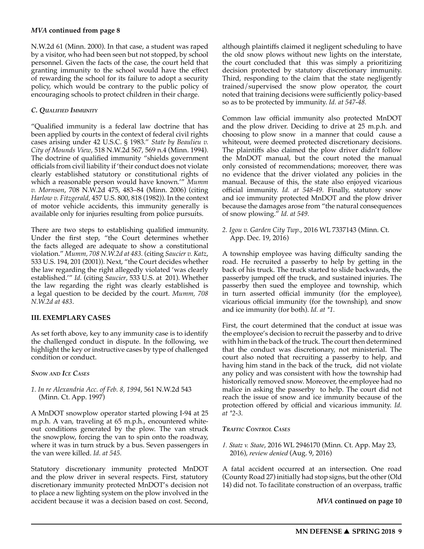N.W.2d 61 (Minn. 2000). In that case, a student was raped by a visitor, who had been seen but not stopped, by school personnel. Given the facts of the case, the court held that granting immunity to the school would have the effect of rewarding the school for its failure to adopt a security policy, which would be contrary to the public policy of encouraging schools to protect children in their charge.

## *C. Qualified Immunity*

"Qualified immunity is a federal law doctrine that has been applied by courts in the context of federal civil rights cases arising under 42 U.S.C. § 1983." *State by Beaulieu v. City of Mounds View*, 518 N.W.2d 567, 569 n.4 (Minn. 1994). The doctrine of qualified immunity "shields government officials from civil liability if 'their conduct does not violate clearly established statutory or constitutional rights of which a reasonable person would have known.'" *Mumm v. Mornson*, 708 N.W.2d 475, 483–84 (Minn. 2006) (citing *Harlow v. Fitzgerald,* 457 U.S. 800, 818 (1982)). In the context of motor vehicle accidents, this immunity generally is available only for injuries resulting from police pursuits.

There are two steps to establishing qualified immunity. Under the first step, "the Court determines whether the facts alleged are adequate to show a constitutional violation." *Mumm, 708 N.W.2d at 483.* (citing *Saucier v. Katz*, 533 U.S. 194, 201 (2001)). Next, "the Court decides whether the law regarding the right allegedly violated 'was clearly established.'" *Id.* (citing *Saucier*, 533 U.S. at 201). Whether the law regarding the right was clearly established is a legal question to be decided by the court. *Mumm, 708 N.W.2d at 483*.

## **III. EXEMPLARY CASES**

As set forth above, key to any immunity case is to identify the challenged conduct in dispute. In the following, we highlight the key or instructive cases by type of challenged condition or conduct.

#### *Snow and Ice Cases*

*1. In re Alexandria Acc. of Feb. 8, 1994*, 561 N.W.2d 543 (Minn. Ct. App. 1997)

A MnDOT snowplow operator started plowing I-94 at 25 m.p.h. A van, traveling at 65 m.p.h., encountered whiteout conditions generated by the plow. The van struck the snowplow, forcing the van to spin onto the roadway, where it was in turn struck by a bus. Seven passengers in the van were killed. *Id. at 545.*

Statutory discretionary immunity protected MnDOT and the plow driver in several respects. First, statutory discretionary immunity protected MnDOT's decision not to place a new lighting system on the plow involved in the accident because it was a decision based on cost. Second,

although plaintiffs claimed it negligent scheduling to have the old snow plows without new lights on the interstate, the court concluded that this was simply a prioritizing decision protected by statutory discretionary immunity. Third, responding to the claim that the state negligently trained/supervised the snow plow operator, the court noted that training decisions were sufficiently policy-based so as to be protected by immunity. *Id. at 547-48.*

Common law official immunity also protected MnDOT and the plow driver. Deciding to drive at 25 m.p.h. and choosing to plow snow in a manner that could cause a whiteout, were deemed protected discretionary decisions. The plaintiffs also claimed the plow driver didn't follow the MnDOT manual, but the court noted the manual only consisted of recommendations; moreover, there was no evidence that the driver violated any policies in the manual. Because of this, the state also enjoyed vicarious official immunity. *Id. at 548-49.* Finally, statutory snow and ice immunity protected MnDOT and the plow driver because the damages arose from "the natural consequences of snow plowing." *Id. at 549.*

*2. Igou v. Garden City Twp.*, 2016 WL 7337143 (Minn. Ct. App. Dec. 19, 2016)

A township employee was having difficulty sanding the road. He recruited a passerby to help by getting in the back of his truck. The truck started to slide backwards, the passerby jumped off the truck, and sustained injuries. The passerby then sued the employee and township, which in turn asserted official immunity (for the employee), vicarious official immunity (for the township), and snow and ice immunity (for both). *Id. at \*1.*

First, the court determined that the conduct at issue was the employee's decision to recruit the passerby and to drive with him in the back of the truck. The court then determined that the conduct was discretionary, not ministerial. The court also noted that recruiting a passerby to help, and having him stand in the back of the truck, did not violate any policy and was consistent with how the township had historically removed snow. Moreover, the employee had no malice in asking the passerby to help. The court did not reach the issue of snow and ice immunity because of the protection offered by official and vicarious immunity. *Id. at \*2-3.*

#### *Traffic Control Cases*

*1. Statz v. State*, 2016 WL 2946170 (Minn. Ct. App. May 23, 2016), *review denied* (Aug. 9, 2016)

A fatal accident occurred at an intersection. One road (County Road 27) initially had stop signs, but the other (Old 14) did not. To facilitate construction of an overpass, traffic

*MVA* **continued on page 10**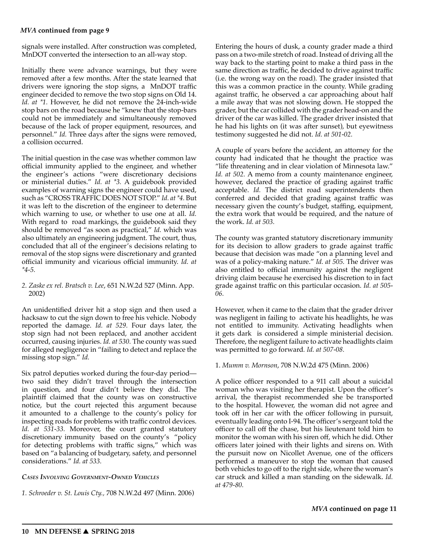signals were installed. After construction was completed, MnDOT converted the intersection to an all-way stop.

Initially there were advance warnings, but they were removed after a few months. After the state learned that drivers were ignoring the stop signs, a MnDOT traffic engineer decided to remove the two stop signs on Old 14. *Id. at \*1.* However, he did not remove the 24-inch-wide stop bars on the road because he "knew that the stop-bars could not be immediately and simultaneously removed because of the lack of proper equipment, resources, and personnel." *Id.* Three days after the signs were removed, a collision occurred.

The initial question in the case was whether common law official immunity applied to the engineer, and whether the engineer's actions "were discretionary decisions or ministerial duties." *Id. at \*3.* A guidebook provided examples of warning signs the engineer could have used, such as "CROSS TRAFFIC DOES NOT STOP." *Id. at \*4.* But it was left to the discretion of the engineer to determine which warning to use, or whether to use one at all. *Id.*  With regard to road markings, the guidebook said they should be removed "as soon as practical," *Id.* which was also ultimately an engineering judgment. The court, thus, concluded that all of the engineer's decisions relating to removal of the stop signs were discretionary and granted official immunity and vicarious official immunity. *Id. at \*4-5.*

#### *2. Zaske ex rel. Bratsch v. Lee*, 651 N.W.2d 527 (Minn. App. 2002)

An unidentified driver hit a stop sign and then used a hacksaw to cut the sign down to free his vehicle. Nobody reported the damage. *Id. at 529.* Four days later, the stop sign had not been replaced, and another accident occurred, causing injuries. *Id. at 530.* The county was sued for alleged negligence in "failing to detect and replace the missing stop sign." *Id.*

Six patrol deputies worked during the four-day period two said they didn't travel through the intersection in question, and four didn't believe they did. The plaintiff claimed that the county was on constructive notice, but the court rejected this argument because it amounted to a challenge to the county's policy for inspecting roads for problems with traffic control devices. *Id. at 531-33.* Moreover, the court granted statutory discretionary immunity based on the county's "policy for detecting problems with traffic signs," which was based on "a balancing of budgetary, safety, and personnel considerations." *Id. at 533.* 

#### *Cases Involving Government-Owned Vehicles*

*1. Schroeder v. St. Louis Cty.,* 708 N.W.2d 497 (Minn. 2006)

Entering the hours of dusk, a county grader made a third pass on a two-mile stretch of road. Instead of driving all the way back to the starting point to make a third pass in the same direction as traffic, he decided to drive against traffic (i.e. the wrong way on the road). The grader insisted that this was a common practice in the county. While grading against traffic, he observed a car approaching about half a mile away that was not slowing down. He stopped the grader, but the car collided with the grader head-on and the driver of the car was killed. The grader driver insisted that he had his lights on (it was after sunset), but eyewitness testimony suggested he did not. *Id. at 501-02.* 

A couple of years before the accident, an attorney for the county had indicated that he thought the practice was "life threatening and in clear violation of Minnesota law." *Id. at 502.* A memo from a county maintenance engineer, however, declared the practice of grading against traffic acceptable. *Id.* The district road superintendents then conferred and decided that grading against traffic was necessary given the county's budget, staffing, equipment, the extra work that would be required, and the nature of the work. *Id. at 503.* 

The county was granted statutory discretionary immunity for its decision to allow graders to grade against traffic because that decision was made "on a planning level and was of a policy-making nature." *Id. at 505.* The driver was also entitled to official immunity against the negligent driving claim because he exercised his discretion to in fact grade against traffic on this particular occasion. *Id. at 505- 06.* 

However, when it came to the claim that the grader driver was negligent in failing to activate his headlights, he was not entitled to immunity. Activating headlights when it gets dark is considered a simple ministerial decision. Therefore, the negligent failure to activate headlights claim was permitted to go forward*. Id. at 507-08.* 

#### 1. *Mumm v. Mornson*, 708 N.W.2d 475 (Minn. 2006)

A police officer responded to a 911 call about a suicidal woman who was visiting her therapist. Upon the officer's arrival, the therapist recommended she be transported to the hospital. However, the woman did not agree and took off in her car with the officer following in pursuit, eventually leading onto I-94. The officer's sergeant told the officer to call off the chase, but his lieutenant told him to monitor the woman with his siren off, which he did. Other officers later joined with their lights and sirens on. With the pursuit now on Nicollet Avenue, one of the officers performed a maneuver to stop the woman that caused both vehicles to go off to the right side, where the woman's car struck and killed a man standing on the sidewalk. *Id. at 479-80.*